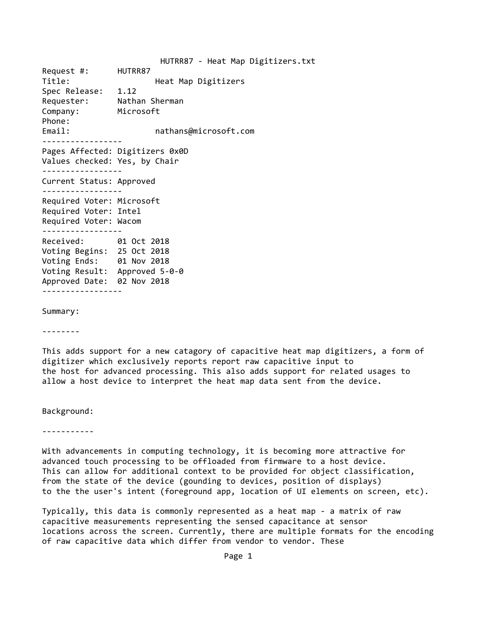HUTRR87 ‐ Heat Map Digitizers.txt Request #: HUTRR87 Title: Title: **Heat Map Digitizers** Spec Release: 1.12 Requester: Nathan Sherman Company: Microsoft Phone: Email:  $and$  nathans@microsoft.com ‐‐‐‐‐‐‐‐‐‐‐‐‐‐‐‐‐ Pages Affected: Digitizers 0x0D Values checked: Yes, by Chair ‐‐‐‐‐‐‐‐‐‐‐‐‐‐‐‐‐ Current Status: Approved ‐‐‐‐‐‐‐‐‐‐‐‐‐‐‐‐‐ Required Voter: Microsoft Required Voter: Intel Required Voter: Wacom ‐‐‐‐‐‐‐‐‐‐‐‐‐‐‐‐‐ Received: 01 Oct 2018 Voting Begins: 25 Oct 2018 Voting Ends: 01 Nov 2018 Voting Result: Approved 5‐0‐0 Approved Date: 02 Nov 2018 ‐‐‐‐‐‐‐‐‐‐‐‐‐‐‐‐‐

Summary:

‐‐‐‐‐‐‐‐

This adds support for a new catagory of capacitive heat map digitizers, a form of digitizer which exclusively reports report raw capacitive input to the host for advanced processing. This also adds support for related usages to allow a host device to interpret the heat map data sent from the device.

Background:

‐‐‐‐‐‐‐‐‐‐‐

With advancements in computing technology, it is becoming more attractive for advanced touch processing to be offloaded from firmware to a host device. This can allow for additional context to be provided for object classification, from the state of the device (gounding to devices, position of displays) to the the user's intent (foreground app, location of UI elements on screen, etc).

Typically, this data is commonly represented as a heat map ‐ a matrix of raw capacitive measurements representing the sensed capacitance at sensor locations across the screen. Currently, there are multiple formats for the encoding of raw capacitive data which differ from vendor to vendor. These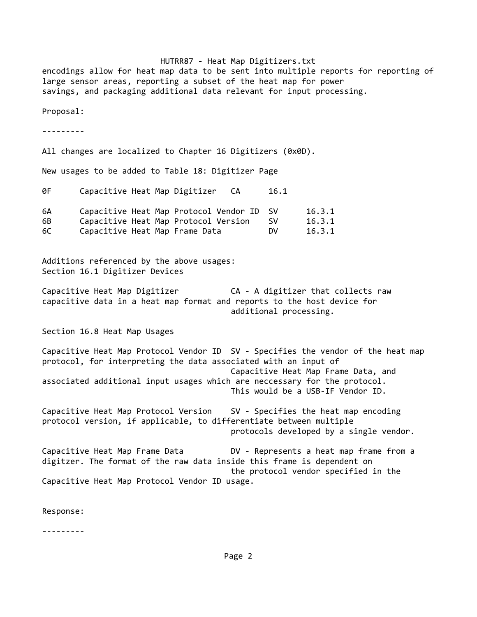HUTRR87 ‐ Heat Map Digitizers.txt encodings allow for heat map data to be sent into multiple reports for reporting of large sensor areas, reporting a subset of the heat map for power savings, and packaging additional data relevant for input processing. Proposal: ‐‐‐‐‐‐‐‐‐ All changes are localized to Chapter 16 Digitizers (0x0D). New usages to be added to Table 18: Digitizer Page 0F Capacitive Heat Map Digitizer CA 16.1 6A Capacitive Heat Map Protocol Vendor ID SV 16.3.1 6B Capacitive Heat Map Protocol Version SV 16.3.1 6C Capacitive Heat Map Frame Data DV 16.3.1 Additions referenced by the above usages: Section 16.1 Digitizer Devices Capacitive Heat Map Digitizer **CA - A digitizer that collects raw** capacitive data in a heat map format and reports to the host device for additional processing. Section 16.8 Heat Map Usages Capacitive Heat Map Protocol Vendor ID SV ‐ Specifies the vendor of the heat map protocol, for interpreting the data associated with an input of Capacitive Heat Map Frame Data, and associated additional input usages which are neccessary for the protocol. This would be a USB‐IF Vendor ID. Capacitive Heat Map Protocol Version SV ‐ Specifies the heat map encoding protocol version, if applicable, to differentiate between multiple protocols developed by a single vendor. Capacitive Heat Map Frame Data DV ‐ Represents a heat map frame from a digitzer. The format of the raw data inside this frame is dependent on the protocol vendor specified in the Capacitive Heat Map Protocol Vendor ID usage.

Response:

‐‐‐‐‐‐‐‐‐